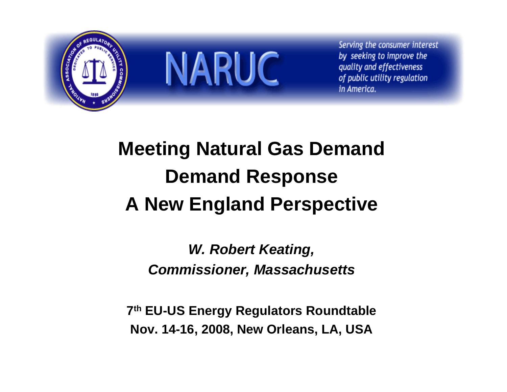

# **Meeting Natural Gas Demand Demand Response A New England Perspective**

*W. Robert Keating, Commissioner, Massachusetts*

**7th EU-US Energy Regulators Roundtable Nov. 14-16, 2008, New Orleans, LA, USA**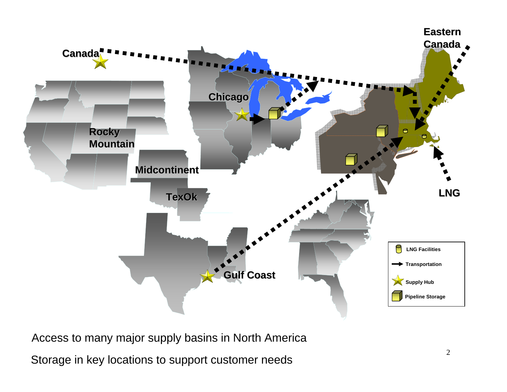

Access to many major supply basins in North America Storage in key locations to support customer needs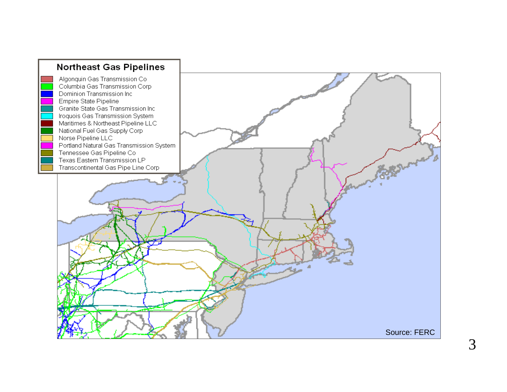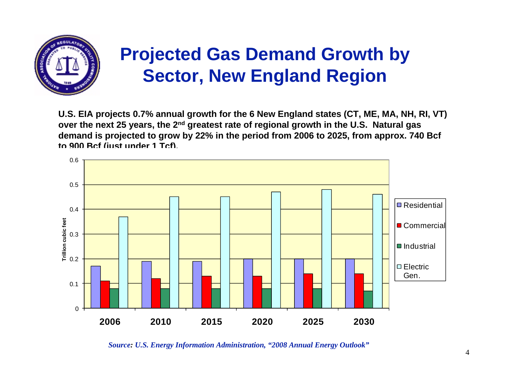

#### **Projected Gas Demand Growth by Sector, New England Region**

**U.S. EIA projects 0.7% annual growth for the 6 New England states (CT, ME, MA, NH, RI, VT) over the next 25 years, the 2nd greatest rate of regional growth in the U.S. Natural gas demand is projected to grow by 22% in the period from 2006 to 2025, from approx. 740 Bcf to 900 Bcf (just under 1 Tcf).** 



*Source: U.S. Energy Information Administration, "2008 Annual Energy Outlook"*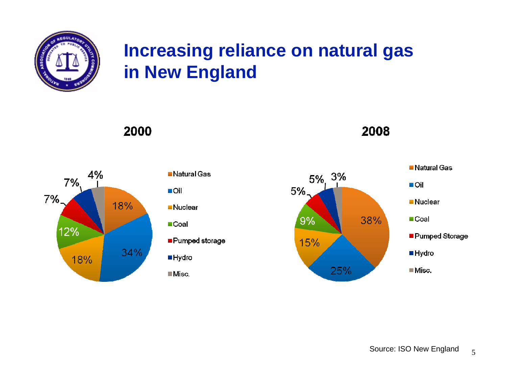

#### **Increasing reliance on natural gas in New England**



2000

| ∎Natural Gas                  |
|-------------------------------|
| ∎Oil                          |
| ∎Nuclear                      |
| $\blacksquare$ Coal           |
| $\blacksquare$ Pumped storage |
| ■Hydro                        |
| ⊟Misc.                        |

 $5\%$ ,  $3\%$  $5%$ 38%  $9%$ 15% 25%

2008

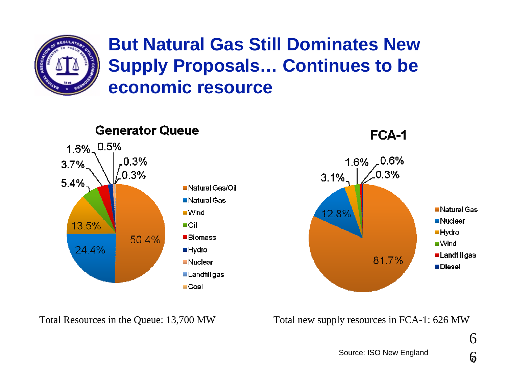

#### **But Natural Gas Still Dominates New Supply Proposals… Continues to be economic resource**



Total Resources in the Queue: 13,700 MW Total new supply resources in FCA-1: 626 MW

Source: ISO New England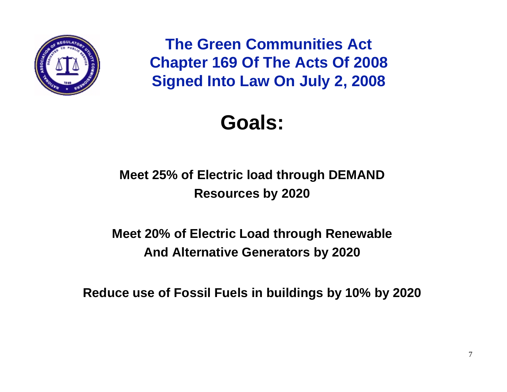

**The Green Communities Act Chapter 169 Of The Acts Of 2008 Signed Into Law On July 2, 2008**

## **Goals:**

**Meet 25% of Electric load through DEMAND Resources by 2020**

**Meet 20% of Electric Load through Renewable And Alternative Generators by 2020**

**Reduce use of Fossil Fuels in buildings by 10% by 2020**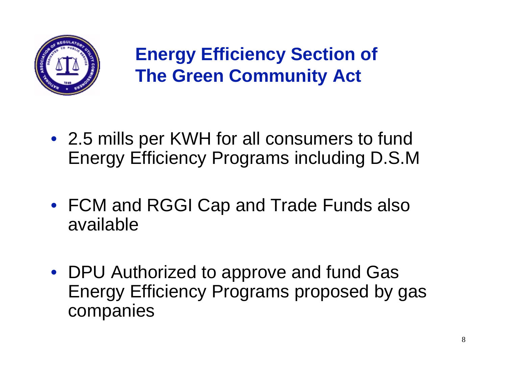

**Energy Efficiency Section of The Green Community Act**

- 2.5 mills per KWH for all consumers to fund Energy Efficiency Programs including D.S.M
- FCM and RGGI Cap and Trade Funds also available
- DPU Authorized to approve and fund Gas Energy Efficiency Programs proposed by gas companies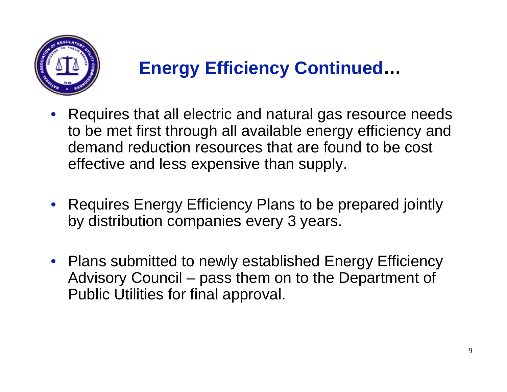

#### **Energy Efficiency Continued …**

- Requires that all electric and natural gas resource needs to be met first through all available energy efficiency and demand reduction resources that are found to be cost effective and less expensive than supply.
- Requires Energy Efficiency Plans to be prepared jointly by distribution companies every 3 years.
- Plans submitted to newly established Energy Efficiency Advisory Council – pass them on to the Department of Public Utilities for final approval.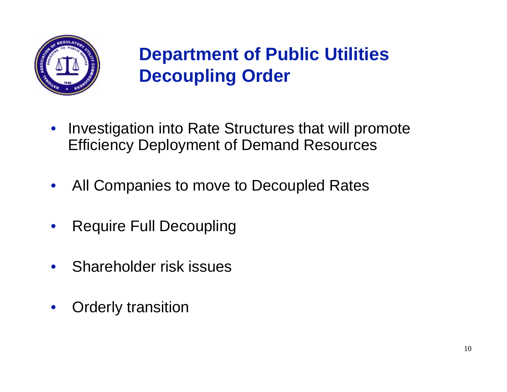

### **Department of Public Utilities Decoupling Order**

- Investigation into Rate Structures that will promote Efficiency Deployment of Demand Resources
- $\bullet$ All Companies to move to Decoupled Rates
- •Require Full Decoupling
- $\bullet$ Shareholder risk issues
- $\bullet$ Orderly transition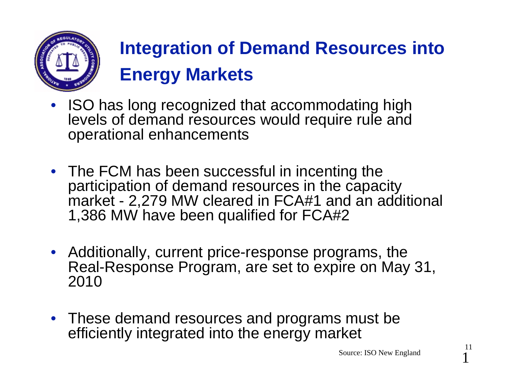

# **Integration of Demand Resources into Energy Markets**

- • ISO has long recognized that accommodating high levels of demand resources would require rule and operational enhancements
- The FCM has been successful in incenting the participation of demand resources in the capacity market - 2,279 MW cleared in FCA#1 and an additional 1,386 MW have been qualified for FCA#2
- Additionally, current price-response programs, the Real-Response Program, are set to expire on May 31, 2010
- These demand resources and programs must be efficiently integrated into the energy market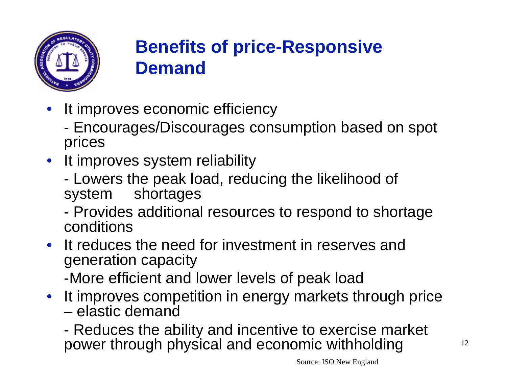

### **Benefits of price-Responsive Demand**

- • It improves economic efficiency
	- - Encourages/Discourages consumption based on spot prices
- It improves system reliability
	- - Lowers the peak load, reducing the likelihood of system shortages
	- - Provides additional resources to respond to shortage conditions
- It reduces the need for investment in reserves and generation capacity -More efficient and lower levels of peak load
- It improves competition in energy markets through price – elastic demand
	- - Reduces the ability and incentive to exercise market power through physical and economic withholding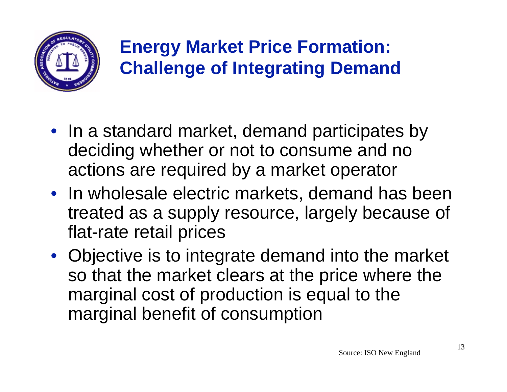

### **Energy Market Price Formation: Challenge of Integrating Demand**

- In a standard market, demand participates by deciding whether or not to consume and no actions are required by a market operator
- In wholesale electric markets, demand has been treated as a supply resource, largely because of flat-rate retail prices
- Objective is to integrate demand into the market so that the market clears at the price where the marginal cost of production is equal to the marginal benefit of consumption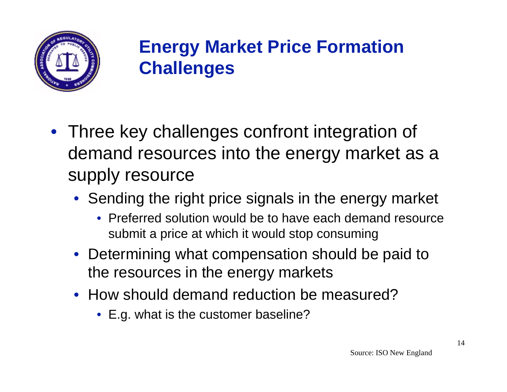

### **Energy Market Price Formation Challenges**

- Three key challenges confront integration of demand resources into the energy market as a supply resource
	- Sending the right price signals in the energy market
		- Preferred solution would be to have each demand resource submit a price at which it would stop consuming
	- Determining what compensation should be paid to the resources in the energy markets
	- How should demand reduction be measured?
		- E.g. what is the customer baseline?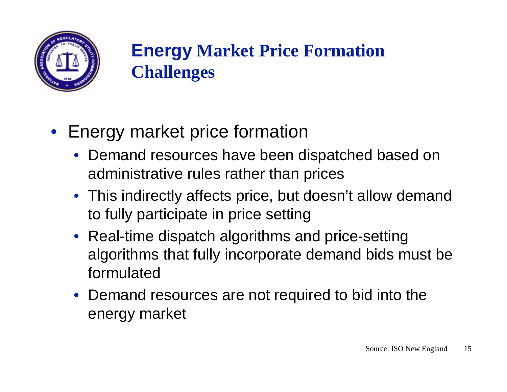

### **Energy Market Price Formation Challenges**

- Energy market price formation
	- Demand resources have been dispatched based on administrative rules rather than prices
	- This indirectly affects price, but doesn't allow demand to fully participate in price setting
	- Real-time dispatch algorithms and price-setting algorithms that fully incorporate demand bids must be formulated
	- Demand resources are not required to bid into the energy market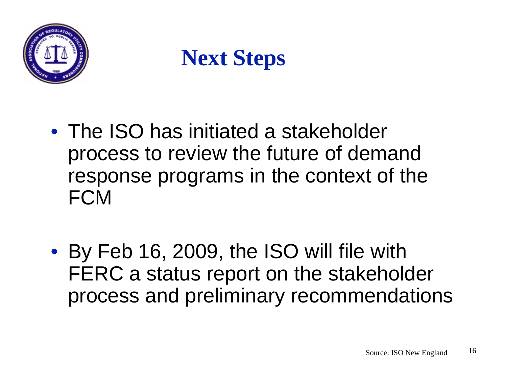

# **Next Steps**

- The ISO has initiated a stakeholder process to review the future of demand response programs in the context of the **FCM**
- By Feb 16, 2009, the ISO will file with FERC a status report on the stakeholder process and preliminary recommendations